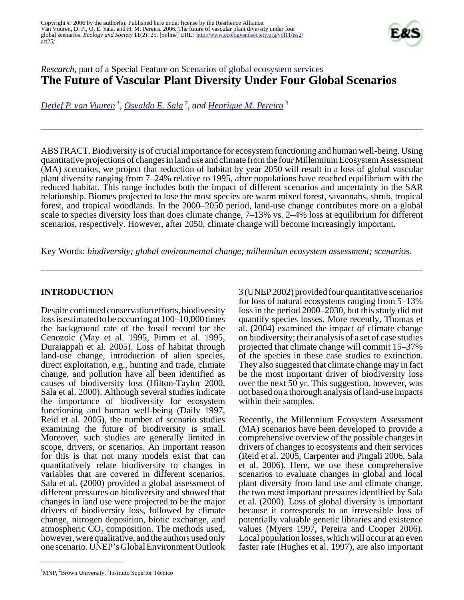

# *Research*, part of a Special Feature on [Scenarios of global ecosystem services](http://www.ecologyandsociety.org/viewissue.php?sf=23) **The Future of Vascular Plant Diversity Under Four Global Scenarios**

*[Detlef P. van Vuuren](mailto:detlef.van.vuuren@mnp.nl)<sup>1</sup> , [Osvaldo E. Sala](mailto:Osvaldo_Sala@Brown.edu)<sup>2</sup>, and [Henrique M. Pereira](mailto:hpereira@civil.ist.utl.pt)<sup>3</sup>*

ABSTRACT. Biodiversity is of crucial importance for ecosystem functioning and human well-being. Using quantitative projections of changes in land use and climate from the four Millennium Ecosystem Assessment (MA) scenarios, we project that reduction of habitat by year 2050 will result in a loss of global vascular plant diversity ranging from 7–24% relative to 1995, after populations have reached equilibrium with the reduced habitat. This range includes both the impact of different scenarios and uncertainty in the SAR relationship. Biomes projected to lose the most species are warm mixed forest, savannahs, shrub, tropical forest, and tropical woodlands. In the 2000–2050 period, land-use change contributes more on a global scale to species diversity loss than does climate change, 7–13% vs. 2–4% loss at equilibrium for different scenarios, respectively. However, after 2050, climate change will become increasingly important.

Key Words: *biodiversity; global environmental change; millennium ecosystem assessment; scenarios.*

## **INTRODUCTION**

Despite continued conservation efforts, biodiversity loss is estimated to be occurring at 100–10,000 times the background rate of the fossil record for the Cenozoic (May et al. 1995, Pimm et al. 1995, Duraiappah et al. 2005). Loss of habitat through land-use change, introduction of alien species, direct exploitation, e.g., hunting and trade, climate change, and pollution have all been identified as causes of biodiversity loss (Hilton-Taylor 2000, Sala et al. 2000). Although several studies indicate the importance of biodiversity for ecosystem functioning and human well-being (Daily 1997, Reid et al. 2005), the number of scenario studies examining the future of biodiversity is small. Moreover, such studies are generally limited in scope, drivers, or scenarios. An important reason for this is that not many models exist that can quantitatively relate biodiversity to changes in variables that are covered in different scenarios. Sala et al. (2000) provided a global assessment of different pressures on biodiversity and showed that changes in land use were projected to be the major drivers of biodiversity loss, followed by climate change, nitrogen deposition, biotic exchange, and atmospheric  $CO_2$  composition. The methods used, however, were qualitative, and the authors used only one scenario. UNEP's Global Environment Outlook

3 (UNEP 2002) provided four quantitative scenarios for loss of natural ecosystems ranging from 5–13% loss in the period 2000–2030, but this study did not quantify species losses. More recently, Thomas et al. (2004) examined the impact of climate change on biodiversity; their analysis of a set of case studies projected that climate change will commit 15–37% of the species in these case studies to extinction. They also suggested that climate change may in fact be the most important driver of biodiversity loss over the next 50 yr. This suggestion, however, was not based on a thorough analysis of land-use impacts within their samples.

Recently, the Millennium Ecosystem Assessment (MA) scenarios have been developed to provide a comprehensive overview of the possible changes in drivers of changes to ecosystems and their services (Reid et al. 2005, Carpenter and Pingali 2006, Sala et al. 2006). Here, we use these comprehensive scenarios to evaluate changes in global and local plant diversity from land use and climate change, the two most important pressures identified by Sala et al. (2000). Loss of global diversity is important because it corresponds to an irreversible loss of potentially valuable genetic libraries and existence values (Myers 1997, Pereira and Cooper 2006). Local population losses, which will occur at an even faster rate (Hughes et al. 1997), are also important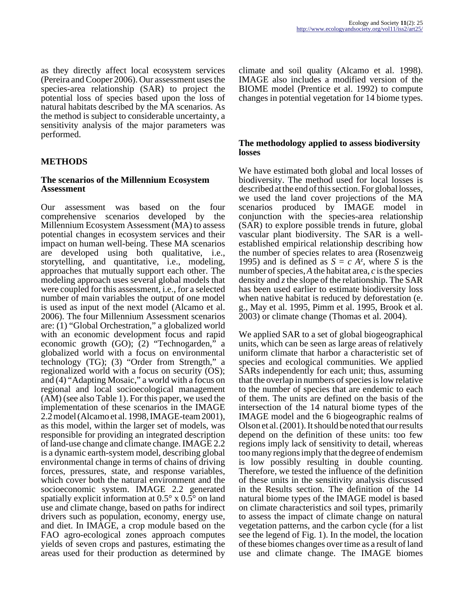as they directly affect local ecosystem services (Pereira and Cooper 2006). Our assessment uses the species-area relationship (SAR) to project the potential loss of species based upon the loss of natural habitats described by the MA scenarios. As the method is subject to considerable uncertainty, a sensitivity analysis of the major parameters was performed.

### **METHODS**

#### **The scenarios of the Millennium Ecosystem Assessment**

Our assessment was based on the four comprehensive scenarios developed by the Millennium Ecosystem Assessment (MA) to assess potential changes in ecosystem services and their impact on human well-being. These MA scenarios are developed using both qualitative, i.e., storytelling, and quantitative, i.e., modeling, approaches that mutually support each other. The modeling approach uses several global models that were coupled for this assessment, i.e., for a selected number of main variables the output of one model is used as input of the next model (Alcamo et al. 2006). The four Millennium Assessment scenarios are: (1) "Global Orchestration," a globalized world with an economic development focus and rapid economic growth (GO); (2) "Technogarden," a globalized world with a focus on environmental technology (TG); (3) "Order from Strength," a regionalized world with a focus on security (OS); and (4) "Adapting Mosaic," a world with a focus on regional and local socioecological management (AM) (see also Table 1). For this paper, we used the implementation of these scenarios in the IMAGE 2.2 model (Alcamo et al. 1998, IMAGE-team 2001), as this model, within the larger set of models, was responsible for providing an integrated description of land-use change and climate change. IMAGE 2.2 is a dynamic earth-system model, describing global environmental change in terms of chains of driving forces, pressures, state, and response variables, which cover both the natural environment and the socioeconomic system. IMAGE 2.2 generated spatially explicit information at 0.5° x 0.5° on land use and climate change, based on paths for indirect drivers such as population, economy, energy use, and diet. In IMAGE, a crop module based on the FAO agro-ecological zones approach computes yields of seven crops and pastures, estimating the areas used for their production as determined by

climate and soil quality (Alcamo et al. 1998). IMAGE also includes a modified version of the BIOME model (Prentice et al. 1992) to compute changes in potential vegetation for 14 biome types.

#### **The methodology applied to assess biodiversity losses**

We have estimated both global and local losses of biodiversity. The method used for local losses is described at the end of this section. For global losses, we used the land cover projections of the MA scenarios produced by IMAGE model in conjunction with the species-area relationship (SAR) to explore possible trends in future, global vascular plant biodiversity. The SAR is a wellestablished empirical relationship describing how the number of species relates to area (Rosenzweig 1995) and is defined as  $S = c A^z$ , where *S* is the number of species, *A* the habitat area, *c* is the species density and *z* the slope of the relationship. The SAR has been used earlier to estimate biodiversity loss when native habitat is reduced by deforestation (e. g., May et al. 1995, Pimm et al. 1995, Brook et al. 2003) or climate change (Thomas et al. 2004).

We applied SAR to a set of global biogeographical units, which can be seen as large areas of relatively uniform climate that harbor a characteristic set of species and ecological communities. We applied SARs independently for each unit; thus, assuming that the overlap in numbers of species is low relative to the number of species that are endemic to each of them. The units are defined on the basis of the intersection of the 14 natural biome types of the IMAGE model and the 6 biogeographic realms of Olson et al. (2001). It should be noted that our results depend on the definition of these units: too few regions imply lack of sensitivity to detail, whereas too many regions imply that the degree of endemism is low possibly resulting in double counting. Therefore, we tested the influence of the definition of these units in the sensitivity analysis discussed in the Results section. The definition of the 14 natural biome types of the IMAGE model is based on climate characteristics and soil types, primarily to assess the impact of climate change on natural vegetation patterns, and the carbon cycle (for a list see the legend of Fig. 1). In the model, the location of these biomes changes over time as a result of land use and climate change. The IMAGE biomes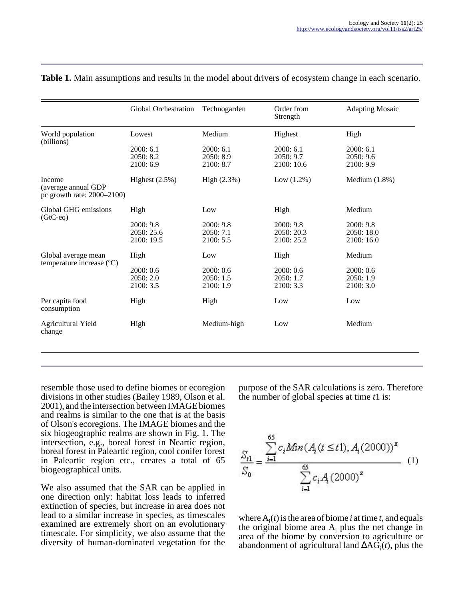|                                                                    | Global Orchestration                | Technogarden                        | Order from<br>Strength               | <b>Adapting Mosaic</b>               |
|--------------------------------------------------------------------|-------------------------------------|-------------------------------------|--------------------------------------|--------------------------------------|
| World population<br>(billions)                                     | Lowest                              | Medium                              | Highest                              | High                                 |
|                                                                    | 2000:6.1<br>2050: 8.2<br>2100: 6.9  | 2000:6.1<br>2050: 8.9<br>2100: 8.7  | 2000:6.1<br>2050: 9.7<br>2100: 10.6  | 2000:6.1<br>2050: 9.6<br>2100: 9.9   |
| <b>Income</b><br>(average annual GDP<br>pc growth rate: 2000–2100) | Highest $(2.5\%)$                   | High (2.3%)                         | Low $(1.2\%)$                        | Medium $(1.8\%)$                     |
| Global GHG emissions<br>$(GtC-eq)$                                 | High                                | Low                                 | High                                 | Medium                               |
|                                                                    | 2000:9.8<br>2050:25.6<br>2100: 19.5 | 2000:9.8<br>2050:7.1<br>2100: 5.5   | 2000:9.8<br>2050: 20.3<br>2100: 25.2 | 2000:9.8<br>2050: 18.0<br>2100: 16.0 |
| Global average mean<br>temperature increase (°C)                   | High                                | Low                                 | High                                 | Medium                               |
|                                                                    | 2000: 0.6<br>2050: 2.0<br>2100: 3.5 | 2000: 0.6<br>2050: 1.5<br>2100: 1.9 | 2000:0.6<br>2050: 1.7<br>2100: 3.3   | 2000:0.6<br>2050: 1.9<br>2100: 3.0   |
| Per capita food<br>consumption                                     | High                                | High                                | Low                                  | Low                                  |
| <b>Agricultural Yield</b><br>change                                | High                                | Medium-high                         | Low                                  | Medium                               |

#### **Table 1.** Main assumptions and results in the model about drivers of ecosystem change in each scenario.

resemble those used to define biomes or ecoregion divisions in other studies (Bailey 1989, Olson et al. 2001), and the intersection between IMAGE biomes and realms is similar to the one that is at the basis of Olson's ecoregions. The IMAGE biomes and the six biogeographic realms are shown in Fig. 1. The intersection, e.g., boreal forest in Neartic region, boreal forest in Paleartic region, cool conifer forest in Paleartic region etc., creates a total of 65 biogeographical units.

We also assumed that the SAR can be applied in one direction only: habitat loss leads to inferred extinction of species, but increase in area does not lead to a similar increase in species, as timescales examined are extremely short on an evolutionary timescale. For simplicity, we also assume that the diversity of human-dominated vegetation for the

purpose of the SAR calculations is zero. Therefore the number of global species at time *t*1 is:

$$
\frac{S_{t1}}{S_0} = \frac{\sum_{i=1}^{65} c_i \text{Min}(A_i(t \le t), A_i(2000))^x}{\sum_{i=1}^{65} c_i A_i(2000)^x}
$$
 (1)

where  $A_i(t)$  is the area of biome *i* at time *t*, and equals the original biome area  $A_i$  plus the net change in area of the biome by conversion to agriculture or abandonment of agricultural land ∆AG<sup>i</sup> (*t*), plus the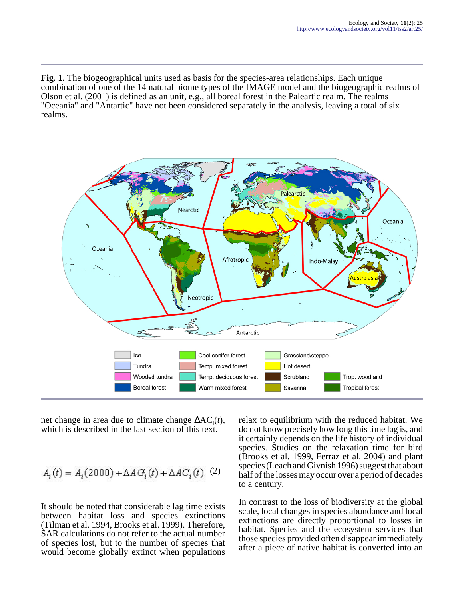**Fig. 1.** The biogeographical units used as basis for the species-area relationships. Each unique combination of one of the 14 natural biome types of the IMAGE model and the biogeographic realms of Olson et al. (2001) is defined as an unit, e.g., all boreal forest in the Paleartic realm. The realms "Oceania" and "Antartic" have not been considered separately in the analysis, leaving a total of six realms.



net change in area due to climate change ∆AC<sup>i</sup> (*t*), which is described in the last section of this text.

$$
A_i(t) = A_i(2000) + \Delta A G_i(t) + \Delta A C_i(t)
$$
 (2)

It should be noted that considerable lag time exists between habitat loss and species extinctions (Tilman et al. 1994, Brooks et al. 1999). Therefore, SAR calculations do not refer to the actual number of species lost, but to the number of species that would become globally extinct when populations

relax to equilibrium with the reduced habitat. We do not know precisely how long this time lag is, and it certainly depends on the life history of individual species. Studies on the relaxation time for bird (Brooks et al. 1999, Ferraz et al. 2004) and plant species (Leach and Givnish 1996) suggest that about half of the losses may occur over a period of decades to a century.

In contrast to the loss of biodiversity at the global scale, local changes in species abundance and local extinctions are directly proportional to losses in habitat. Species and the ecosystem services that those species provided often disappear immediately after a piece of native habitat is converted into an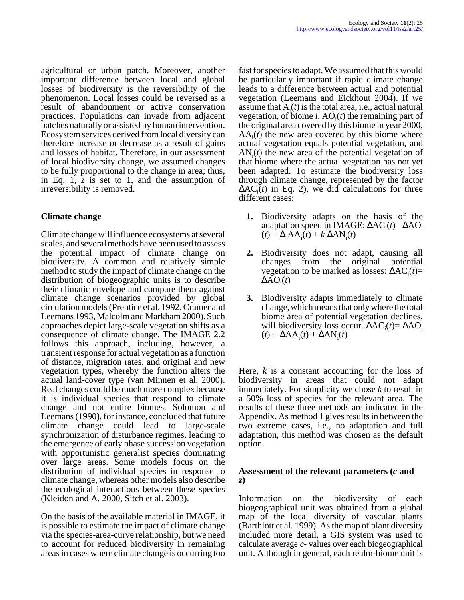agricultural or urban patch. Moreover, another important difference between local and global losses of biodiversity is the reversibility of the phenomenon. Local losses could be reversed as a result of abandonment or active conservation practices. Populations can invade from adjacent patches naturally or assisted by human intervention. Ecosystem services derived from local diversity can therefore increase or decrease as a result of gains and losses of habitat. Therefore, in our assessment of local biodiversity change, we assumed changes to be fully proportional to the change in area; thus, in Eq. 1, *z* is set to 1, and the assumption of irreversibility is removed.

### **Climate change**

Climate change will influence ecosystems at several scales, and several methods have been used to assess the potential impact of climate change on biodiversity. A common and relatively simple method to study the impact of climate change on the distribution of biogeographic units is to describe their climatic envelope and compare them against climate change scenarios provided by global circulation models (Prentice et al. 1992, Cramer and Leemans 1993, Malcolm and Markham 2000). Such approaches depict large-scale vegetation shifts as a consequence of climate change. The IMAGE 2.2 follows this approach, including, however, a transient response for actual vegetation as a function of distance, migration rates, and original and new vegetation types, whereby the function alters the actual land-cover type (van Minnen et al. 2000). Real changes could be much more complex because it is individual species that respond to climate change and not entire biomes. Solomon and Leemans (1990), for instance, concluded that future climate change could lead to large-scale synchronization of disturbance regimes, leading to the emergence of early phase succession vegetation with opportunistic generalist species dominating over large areas. Some models focus on the distribution of individual species in response to climate change, whereas other models also describe the ecological interactions between these species (Kleidon and A. 2000, Sitch et al. 2003).

On the basis of the available material in IMAGE, it is possible to estimate the impact of climate change via the species-area-curve relationship, but we need to account for reduced biodiversity in remaining areas in cases where climate change is occurring too

fast for species to adapt. We assumed that this would be particularly important if rapid climate change leads to a difference between actual and potential vegetation (Leemans and Eickhout 2004). If we assume that  $A_i(t)$  is the total area, i.e., actual natural vegetation, of biome  $i$ ,  $AO<sub>i</sub>(t)$  the remaining part of the original area covered by this biome in year 2000,  $AA_i(t)$  the new area covered by this biome where actual vegetation equals potential vegetation, and  $AN<sub>i</sub>(t)$  the new area of the potential vegetation of that biome where the actual vegetation has not yet been adapted. To estimate the biodiversity loss through climate change, represented by the factor  $\Delta AC_i(t)$  in Eq. 2), we did calculations for three different cases:

- **1.** Biodiversity adapts on the basis of the adaptation speed in IMAGE: ΔAC<sub>i</sub>(t)= ΔAO<sub>i</sub>  $(t) + \Delta A A_i(t) + k \Delta A N_i(t)$
- **2.** Biodiversity does not adapt, causing all changes from the original potential vegetation to be marked as losses:  $ΔAC<sub>i</sub>(t) =$  $\Delta AO_i(t)$
- **3.** Biodiversity adapts immediately to climate change, which means that only where the total biome area of potential vegetation declines, will biodiversity loss occur.  $\Delta AC_i(t) = \Delta AO_i$  $(t) + \Delta A A_i(t) + \Delta A N_i(t)$

Here, *k* is a constant accounting for the loss of biodiversity in areas that could not adapt immediately. For simplicity we chose *k* to result in a 50% loss of species for the relevant area. The results of these three methods are indicated in the Appendix. As method 1 gives results in between the two extreme cases, i.e., no adaptation and full adaptation, this method was chosen as the default option.

### **Assessment of the relevant parameters (***c* **and** *z***)**

Information on the biodiversity of each biogeographical unit was obtained from a global map of the local diversity of vascular plants (Barthlott et al. 1999). As the map of plant diversity included more detail, a GIS system was used to calculate average *c*- values over each biogeographical unit. Although in general, each realm-biome unit is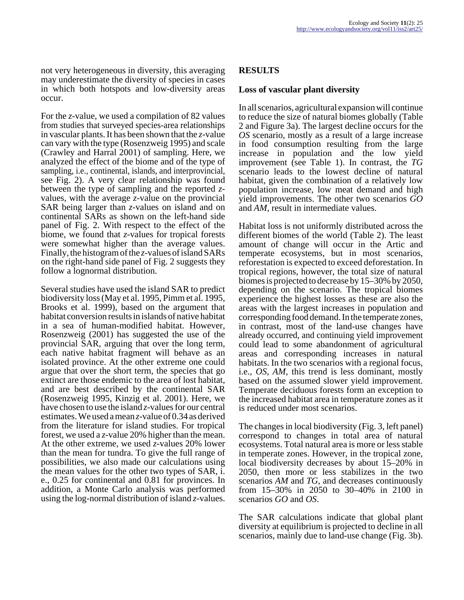not very heterogeneous in diversity, this averaging may underestimate the diversity of species in cases in which both hotspots and low-diversity areas occur.

For the *z*-value, we used a compilation of 82 values from studies that surveyed species-area relationships in vascular plants. It has been shown that the *z*-value can vary with the type (Rosenzweig 1995) and scale (Crawley and Harral 2001) of sampling. Here, we analyzed the effect of the biome and of the type of sampling, i.e., continental, islands, and interprovincial, see Fig. 2). A very clear relationship was found between the type of sampling and the reported *z*values, with the average *z*-value on the provincial SAR being larger than *z*-values on island and on continental SARs as shown on the left-hand side panel of Fig. 2. With respect to the effect of the biome, we found that *z*-values for tropical forests were somewhat higher than the average values. Finally, the histogram of the *z*-values of island SARs on the right-hand side panel of Fig. 2 suggests they follow a lognormal distribution.

Several studies have used the island SAR to predict biodiversity loss (May et al. 1995, Pimm et al. 1995, Brooks et al. 1999), based on the argument that habitat conversion results in islands of native habitat in a sea of human-modified habitat. However, Rosenzweig (2001) has suggested the use of the provincial SAR, arguing that over the long term, each native habitat fragment will behave as an isolated province. At the other extreme one could argue that over the short term, the species that go extinct are those endemic to the area of lost habitat, and are best described by the continental SAR (Rosenzweig 1995, Kinzig et al. 2001). Here, we have chosen to use the island *z*-values for our central estimates. We used a mean *z*-value of 0.34 as derived from the literature for island studies. For tropical forest, we used a *z*-value 20% higher than the mean. At the other extreme, we used *z*-values 20% lower than the mean for tundra. To give the full range of possibilities, we also made our calculations using the mean values for the other two types of SAR, i. e., 0.25 for continental and 0.81 for provinces. In addition, a Monte Carlo analysis was performed using the log-normal distribution of island *z*-values.

### **RESULTS**

### **Loss of vascular plant diversity**

In all scenarios, agricultural expansion will continue to reduce the size of natural biomes globally (Table 2 and Figure 3a). The largest decline occurs for the *OS* scenario, mostly as a result of a large increase in food consumption resulting from the large increase in population and the low yield improvement (see Table 1). In contrast, the *TG* scenario leads to the lowest decline of natural habitat, given the combination of a relatively low population increase, low meat demand and high yield improvements. The other two scenarios *GO* and *AM,* result in intermediate values.

Habitat loss is not uniformly distributed across the different biomes of the world (Table 2). The least amount of change will occur in the Artic and temperate ecosystems, but in most scenarios, reforestation is expected to exceed deforestation. In tropical regions, however, the total size of natural biomes is projected to decrease by 15–30% by 2050, depending on the scenario. The tropical biomes experience the highest losses as these are also the areas with the largest increases in population and corresponding food demand. In the temperate zones, in contrast, most of the land-use changes have already occurred, and continuing yield improvement could lead to some abandonment of agricultural areas and corresponding increases in natural habitats. In the two scenarios with a regional focus, i.e., *OS, AM*, this trend is less dominant, mostly based on the assumed slower yield improvement. Temperate deciduous forests form an exception to the increased habitat area in temperature zones as it is reduced under most scenarios.

The changes in local biodiversity (Fig. 3, left panel) correspond to changes in total area of natural ecosystems. Total natural area is more or less stable in temperate zones. However, in the tropical zone, local biodiversity decreases by about 15–20% in 2050, then more or less stabilizes in the two scenarios *AM* and *TG*, and decreases continuously from 15–30% in 2050 to 30–40% in 2100 in scenarios *GO* and *OS*.

The SAR calculations indicate that global plant diversity at equilibrium is projected to decline in all scenarios, mainly due to land-use change (Fig. 3b).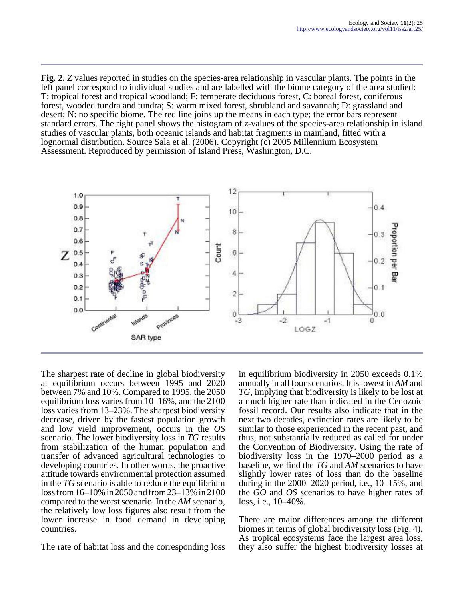**Fig. 2.** *Z* values reported in studies on the species-area relationship in vascular plants. The points in the left panel correspond to individual studies and are labelled with the biome category of the area studied: T: tropical forest and tropical woodland; F: temperate deciduous forest, C: boreal forest, coniferous forest, wooded tundra and tundra; S: warm mixed forest, shrubland and savannah; D: grassland and desert; N: no specific biome. The red line joins up the means in each type; the error bars represent standard errors. The right panel shows the histogram of *z*-values of the species-area relationship in island studies of vascular plants, both oceanic islands and habitat fragments in mainland, fitted with a lognormal distribution. Source Sala et al. (2006). Copyright (c) 2005 Millennium Ecosystem Assessment. Reproduced by permission of Island Press, Washington, D.C.



The sharpest rate of decline in global biodiversity at equilibrium occurs between 1995 and 2020 between 7% and 10%. Compared to 1995, the 2050 equilibrium loss varies from 10–16%, and the 2100 loss varies from 13–23%. The sharpest biodiversity decrease, driven by the fastest population growth and low yield improvement, occurs in the *OS* scenario. The lower biodiversity loss in *TG* results from stabilization of the human population and transfer of advanced agricultural technologies to developing countries. In other words, the proactive attitude towards environmental protection assumed in the *TG* scenario is able to reduce the equilibrium loss from 16–10% in 2050 and from 23–13% in 2100 compared to the worst scenario. In the *AM* scenario, the relatively low loss figures also result from the lower increase in food demand in developing countries.

The rate of habitat loss and the corresponding loss

in equilibrium biodiversity in 2050 exceeds 0.1% annually in all four scenarios. It is lowest in *AM* and *TG*, implying that biodiversity is likely to be lost at a much higher rate than indicated in the Cenozoic fossil record. Our results also indicate that in the next two decades, extinction rates are likely to be similar to those experienced in the recent past, and thus, not substantially reduced as called for under the Convention of Biodiversity. Using the rate of biodiversity loss in the 1970–2000 period as a baseline, we find the *TG* and *AM* scenarios to have slightly lower rates of loss than do the baseline during in the 2000–2020 period, i.e., 10–15%, and the *GO* and *OS* scenarios to have higher rates of loss, i.e., 10–40%.

There are major differences among the different biomes in terms of global biodiversity loss (Fig. 4). As tropical ecosystems face the largest area loss, they also suffer the highest biodiversity losses at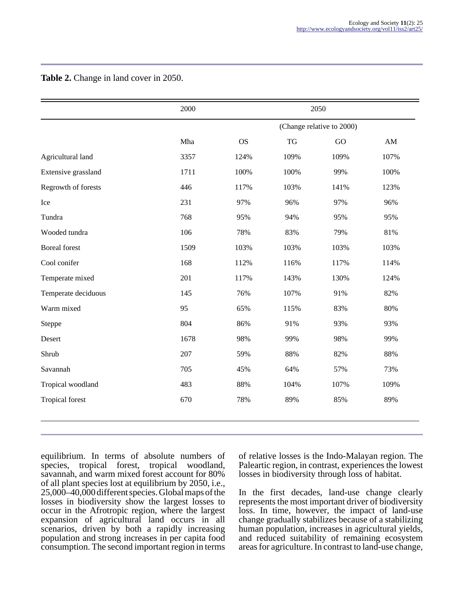|                        | 2000 |                           |           | 2050 |            |  |
|------------------------|------|---------------------------|-----------|------|------------|--|
|                        |      | (Change relative to 2000) |           |      |            |  |
|                        | Mha  | <b>OS</b>                 | <b>TG</b> | GO   | ${\rm AM}$ |  |
| Agricultural land      | 3357 | 124%                      | 109%      | 109% | 107%       |  |
| Extensive grassland    | 1711 | 100%                      | 100%      | 99%  | 100%       |  |
| Regrowth of forests    | 446  | 117%                      | 103%      | 141% | 123%       |  |
| Ice                    | 231  | 97%                       | 96%       | 97%  | 96%        |  |
| Tundra                 | 768  | 95%                       | 94%       | 95%  | 95%        |  |
| Wooded tundra          | 106  | 78%                       | 83%       | 79%  | 81%        |  |
| <b>Boreal</b> forest   | 1509 | 103%                      | 103%      | 103% | 103%       |  |
| Cool conifer           | 168  | 112%                      | 116%      | 117% | 114%       |  |
| Temperate mixed        | 201  | 117%                      | 143%      | 130% | 124%       |  |
| Temperate deciduous    | 145  | 76%                       | 107%      | 91%  | 82%        |  |
| Warm mixed             | 95   | 65%                       | 115%      | 83%  | 80%        |  |
| Steppe                 | 804  | 86%                       | 91%       | 93%  | 93%        |  |
| Desert                 | 1678 | 98%                       | 99%       | 98%  | 99%        |  |
| Shrub                  | 207  | 59%                       | 88%       | 82%  | 88%        |  |
| Savannah               | 705  | 45%                       | 64%       | 57%  | 73%        |  |
| Tropical woodland      | 483  | 88%                       | 104%      | 107% | 109%       |  |
| <b>Tropical forest</b> | 670  | 78%                       | 89%       | 85%  | 89%        |  |

**Table 2.** Change in land cover in 2050.

equilibrium. In terms of absolute numbers of species, tropical forest, tropical woodland, savannah, and warm mixed forest account for 80% of all plant species lost at equilibrium by 2050, i.e., 25,000–40,000 different species. Global maps of the losses in biodiversity show the largest losses to occur in the Afrotropic region, where the largest expansion of agricultural land occurs in all scenarios, driven by both a rapidly increasing population and strong increases in per capita food consumption. The second important region in terms

of relative losses is the Indo-Malayan region. The Paleartic region, in contrast, experiences the lowest losses in biodiversity through loss of habitat.

In the first decades, land-use change clearly represents the most important driver of biodiversity loss. In time, however, the impact of land-use change gradually stabilizes because of a stabilizing human population, increases in agricultural yields, and reduced suitability of remaining ecosystem areas for agriculture. In contrast to land-use change,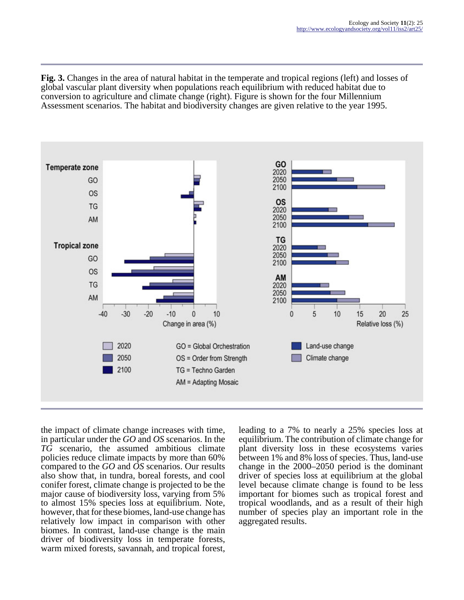**Fig. 3.** Changes in the area of natural habitat in the temperate and tropical regions (left) and losses of global vascular plant diversity when populations reach equilibrium with reduced habitat due to conversion to agriculture and climate change (right). Figure is shown for the four Millennium Assessment scenarios. The habitat and biodiversity changes are given relative to the year 1995.



the impact of climate change increases with time, in particular under the *GO* and *OS* scenarios. In the *TG* scenario, the assumed ambitious climate policies reduce climate impacts by more than 60% compared to the *GO* and *OS* scenarios. Our results also show that, in tundra, boreal forests, and cool conifer forest, climate change is projected to be the major cause of biodiversity loss, varying from 5% to almost 15% species loss at equilibrium. Note, however, that for these biomes, land-use change has relatively low impact in comparison with other biomes. In contrast, land-use change is the main driver of biodiversity loss in temperate forests, warm mixed forests, savannah, and tropical forest,

leading to a 7% to nearly a 25% species loss at equilibrium. The contribution of climate change for plant diversity loss in these ecosystems varies between 1% and 8% loss of species. Thus, land-use change in the 2000–2050 period is the dominant driver of species loss at equilibrium at the global level because climate change is found to be less important for biomes such as tropical forest and tropical woodlands, and as a result of their high number of species play an important role in the aggregated results.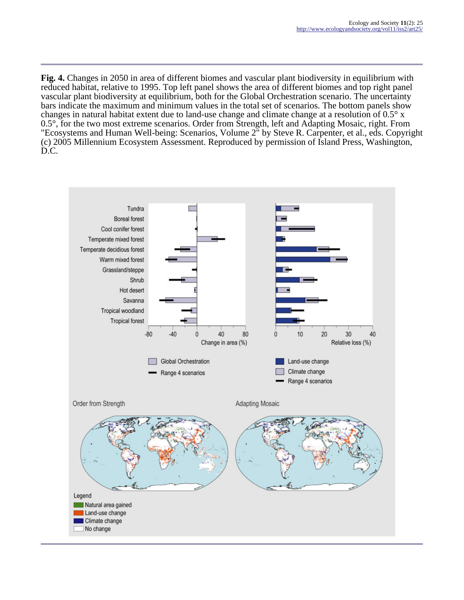**Fig. 4.** Changes in 2050 in area of different biomes and vascular plant biodiversity in equilibrium with reduced habitat, relative to 1995. Top left panel shows the area of different biomes and top right panel vascular plant biodiversity at equilibrium, both for the Global Orchestration scenario. The uncertainty bars indicate the maximum and minimum values in the total set of scenarios. The bottom panels show changes in natural habitat extent due to land-use change and climate change at a resolution of 0.5° x 0.5°, for the two most extreme scenarios. Order from Strength, left and Adapting Mosaic, right. From "Ecosystems and Human Well-being: Scenarios, Volume 2" by Steve R. Carpenter, et al., eds. Copyright (c) 2005 Millennium Ecosystem Assessment. Reproduced by permission of Island Press, Washington, D.C.

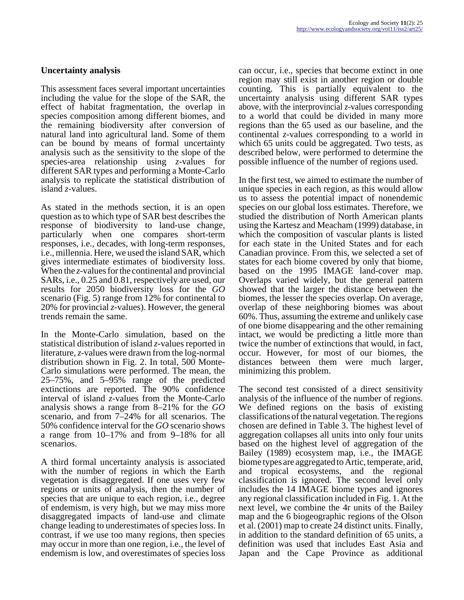### **Uncertainty analysis**

This assessment faces several important uncertainties including the value for the slope of the SAR, the effect of habitat fragmentation, the overlap in species composition among different biomes, and the remaining biodiversity after conversion of natural land into agricultural land. Some of them can be bound by means of formal uncertainty analysis such as the sensitivity to the slope of the species-area relationship using *z*-values for different SAR types and performing a Monte-Carlo analysis to replicate the statistical distribution of island *z*-values.

As stated in the methods section, it is an open question as to which type of SAR best describes the response of biodiversity to land-use change, particularly when one compares short-term responses, i.e., decades, with long-term responses, i.e., millennia. Here, we used the island SAR, which gives intermediate estimates of biodiversity loss. When the *z*-values for the continental and provincial SARs, i.e., 0.25 and 0.81, respectively are used, our results for 2050 biodiversity loss for the *GO* scenario (Fig. 5) range from 12% for continental to 20% for provincial *z*-values). However, the general trends remain the same.

In the Monte-Carlo simulation, based on the statistical distribution of island *z*-values reported in literature, *z*-values were drawn from the log-normal distribution shown in Fig. 2. In total, 500 Monte-Carlo simulations were performed. The mean, the 25–75%, and 5–95% range of the predicted extinctions are reported. The 90% confidence interval of island *z*-values from the Monte-Carlo analysis shows a range from 8–21% for the *GO* scenario, and from 7–24% for all scenarios. The 50% confidence interval for the *GO* scenario shows a range from 10–17% and from 9–18% for all scenarios.

A third formal uncertainty analysis is associated with the number of regions in which the Earth vegetation is disaggregated. If one uses very few regions or units of analysis, then the number of species that are unique to each region, i.e., degree of endemism, is very high, but we may miss more disaggregated impacts of land-use and climate change leading to underestimates of species loss. In contrast, if we use too many regions, then species may occur in more than one region, i.e., the level of endemism is low, and overestimates of species loss

can occur, i.e., species that become extinct in one region may still exist in another region or double counting. This is partially equivalent to the uncertainty analysis using different SAR types above, with the interprovincial *z*-values corresponding to a world that could be divided in many more regions than the 65 used as our baseline, and the continental *z*-values corresponding to a world in which 65 units could be aggregated. Two tests, as described below, were performed to determine the possible influence of the number of regions used.

In the first test, we aimed to estimate the number of unique species in each region, as this would allow us to assess the potential impact of nonendemic species on our global loss estimates. Therefore, we studied the distribution of North American plants using the Kartesz and Meacham (1999) database, in which the composition of vascular plants is listed for each state in the United States and for each Canadian province. From this, we selected a set of states for each biome covered by only that biome, based on the 1995 IMAGE land-cover map. Overlaps varied widely, but the general pattern showed that the larger the distance between the biomes, the lesser the species overlap. On average, overlap of these neighboring biomes was about 60%. Thus, assuming the extreme and unlikely case of one biome disappearing and the other remaining intact, we would be predicting a little more than twice the number of extinctions that would, in fact, occur. However, for most of our biomes, the distances between them were much larger, minimizing this problem.

The second test consisted of a direct sensitivity analysis of the influence of the number of regions. We defined regions on the basis of existing classifications of the natural vegetation. The regions chosen are defined in Table 3. The highest level of aggregation collapses all units into only four units based on the highest level of aggregation of the Bailey (1989) ecosystem map, i.e., the IMAGE biome types are aggregated to Artic, temperate, arid, and tropical ecosystems, and the regional classification is ignored. The second level only includes the 14 IMAGE biome types and ignores any regional classification included in Fig. 1. At the next level, we combine the 4r units of the Bailey map and the 6 biogeographic regions of the Olson et al. (2001) map to create 24 distinct units. Finally, in addition to the standard definition of 65 units, a definition was used that includes East Asia and Japan and the Cape Province as additional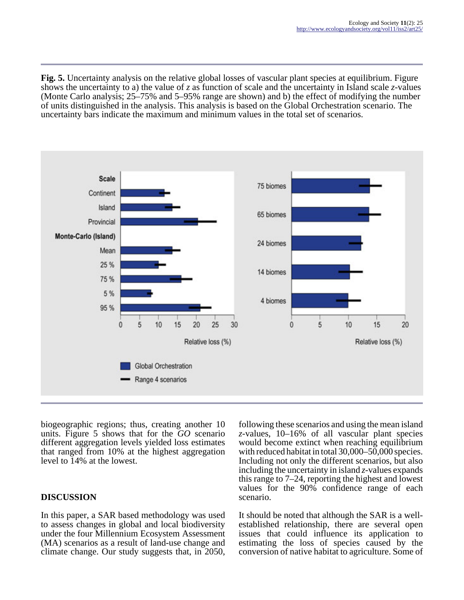**Fig. 5.** Uncertainty analysis on the relative global losses of vascular plant species at equilibrium. Figure shows the uncertainty to a) the value of *z* as function of scale and the uncertainty in Island scale *z*-values (Monte Carlo analysis; 25–75% and 5–95% range are shown) and b) the effect of modifying the number of units distinguished in the analysis. This analysis is based on the Global Orchestration scenario. The uncertainty bars indicate the maximum and minimum values in the total set of scenarios.



biogeographic regions; thus, creating another 10 units. Figure 5 shows that for the *GO* scenario different aggregation levels yielded loss estimates that ranged from 10% at the highest aggregation level to 14% at the lowest.

## **DISCUSSION**

In this paper, a SAR based methodology was used to assess changes in global and local biodiversity under the four Millennium Ecosystem Assessment (MA) scenarios as a result of land-use change and climate change. Our study suggests that, in 2050,

following these scenarios and using the mean island *z*-values, 10–16% of all vascular plant species would become extinct when reaching equilibrium with reduced habitat in total  $30,000-50,000$  species. Including not only the different scenarios, but also including the uncertainty in island *z*-values expands this range to 7–24, reporting the highest and lowest values for the 90% confidence range of each scenario.

It should be noted that although the SAR is a wellestablished relationship, there are several open issues that could influence its application to estimating the loss of species caused by the conversion of native habitat to agriculture. Some of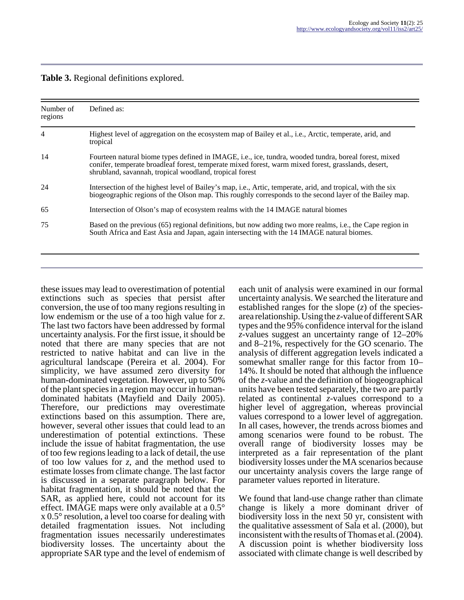| Table 3. Regional definitions explored. |  |  |
|-----------------------------------------|--|--|
|-----------------------------------------|--|--|

| Number of<br>regions | Defined as:                                                                                                                                                                                                                                                             |
|----------------------|-------------------------------------------------------------------------------------------------------------------------------------------------------------------------------------------------------------------------------------------------------------------------|
| 4                    | Highest level of aggregation on the ecosystem map of Bailey et al., i.e., Arctic, temperate, arid, and<br>tropical                                                                                                                                                      |
| 14                   | Fourteen natural biome types defined in IMAGE, i.e., ice, tundra, wooded tundra, boreal forest, mixed<br>conifer, temperate broadleaf forest, temperate mixed forest, warm mixed forest, grasslands, desert,<br>shrubland, savannah, tropical woodland, tropical forest |
| 24                   | Intersection of the highest level of Bailey's map, i.e., Artic, temperate, arid, and tropical, with the six<br>biogeographic regions of the Olson map. This roughly corresponds to the second layer of the Bailey map.                                                  |
| 65                   | Intersection of Olson's map of ecosystem realms with the 14 IMAGE natural biomes                                                                                                                                                                                        |
| 75                   | Based on the previous (65) regional definitions, but now adding two more realms, i.e., the Cape region in<br>South Africa and East Asia and Japan, again intersecting with the 14 IMAGE natural biomes.                                                                 |

these issues may lead to overestimation of potential extinctions such as species that persist after conversion, the use of too many regions resulting in low endemism or the use of a too high value for *z*. The last two factors have been addressed by formal uncertainty analysis. For the first issue, it should be noted that there are many species that are not restricted to native habitat and can live in the agricultural landscape (Pereira et al. 2004). For simplicity, we have assumed zero diversity for human-dominated vegetation. However, up to 50% of the plant species in a region may occur in humandominated habitats (Mayfield and Daily 2005). Therefore, our predictions may overestimate extinctions based on this assumption. There are, however, several other issues that could lead to an underestimation of potential extinctions. These include the issue of habitat fragmentation, the use of too few regions leading to a lack of detail, the use of too low values for *z*, and the method used to estimate losses from climate change. The last factor is discussed in a separate paragraph below. For habitat fragmentation, it should be noted that the SAR, as applied here, could not account for its effect. IMAGE maps were only available at a 0.5° x 0.5° resolution, a level too coarse for dealing with detailed fragmentation issues. Not including fragmentation issues necessarily underestimates biodiversity losses. The uncertainty about the appropriate SAR type and the level of endemism of

each unit of analysis were examined in our formal uncertainty analysis. We searched the literature and established ranges for the slope (*z*) of the speciesarea relationship. Using the *z*-value of different SAR types and the 95% confidence interval for the island *z*-values suggest an uncertainty range of 12–20% and 8–21%, respectively for the GO scenario. The analysis of different aggregation levels indicated a somewhat smaller range for this factor from 10– 14%. It should be noted that although the influence of the *z*-value and the definition of biogeographical units have been tested separately, the two are partly related as continental *z*-values correspond to a higher level of aggregation, whereas provincial values correspond to a lower level of aggregation. In all cases, however, the trends across biomes and among scenarios were found to be robust. The overall range of biodiversity losses may be interpreted as a fair representation of the plant biodiversity losses under the MA scenarios because our uncertainty analysis covers the large range of parameter values reported in literature.

We found that land-use change rather than climate change is likely a more dominant driver of biodiversity loss in the next 50 yr, consistent with the qualitative assessment of Sala et al. (2000), but inconsistent with the results of Thomas et al. (2004). A discussion point is whether biodiversity loss associated with climate change is well described by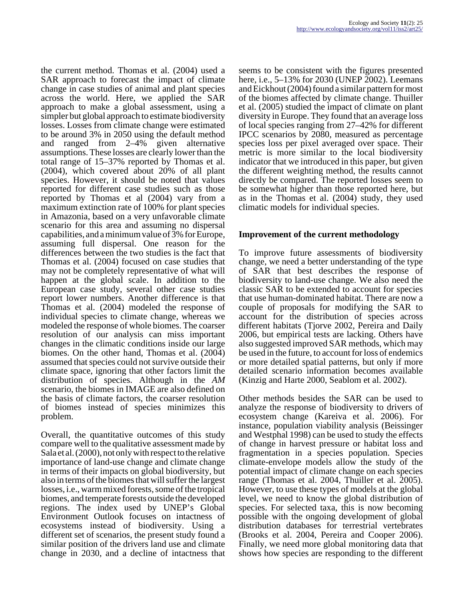the current method. Thomas et al. (2004) used a SAR approach to forecast the impact of climate change in case studies of animal and plant species across the world. Here, we applied the SAR approach to make a global assessment, using a simpler but global approach to estimate biodiversity losses. Losses from climate change were estimated to be around 3% in 2050 using the default method and ranged from 2–4% given alternative assumptions. These losses are clearly lower than the total range of 15–37% reported by Thomas et al. (2004), which covered about 20% of all plant species. However, it should be noted that values reported for different case studies such as those reported by Thomas et al (2004) vary from a maximum extinction rate of 100% for plant species in Amazonia, based on a very unfavorable climate scenario for this area and assuming no dispersal capabilities, and a minimum value of 3% for Europe, assuming full dispersal. One reason for the differences between the two studies is the fact that Thomas et al. (2004) focused on case studies that may not be completely representative of what will happen at the global scale. In addition to the European case study, several other case studies report lower numbers. Another difference is that Thomas et al. (2004) modeled the response of individual species to climate change, whereas we modeled the response of whole biomes. The coarser resolution of our analysis can miss important changes in the climatic conditions inside our large biomes. On the other hand, Thomas et al. (2004) assumed that species could not survive outside their climate space, ignoring that other factors limit the distribution of species. Although in the *AM* scenario, the biomes in IMAGE are also defined on the basis of climate factors, the coarser resolution of biomes instead of species minimizes this problem.

Overall, the quantitative outcomes of this study compare well to the qualitative assessment made by Sala et al. (2000), not only with respect to the relative importance of land-use change and climate change in terms of their impacts on global biodiversity, but also in terms of the biomes that will suffer the largest losses, i.e., warm mixed forests, some of the tropical biomes, and temperate forests outside the developed regions. The index used by UNEP's Global Environment Outlook focuses on intactness of ecosystems instead of biodiversity. Using a different set of scenarios, the present study found a similar position of the drivers land use and climate change in 2030, and a decline of intactness that

seems to be consistent with the figures presented here, i.e., 5–13% for 2030 (UNEP 2002). Leemans and Eickhout (2004) found a similar pattern for most of the biomes affected by climate change. Thuiller et al. (2005) studied the impact of climate on plant diversity in Europe. They found that an average loss of local species ranging from 27–42% for different IPCC scenarios by 2080, measured as percentage species loss per pixel averaged over space. Their metric is more similar to the local biodiversity indicator that we introduced in this paper, but given the different weighting method, the results cannot directly be compared. The reported losses seem to be somewhat higher than those reported here, but as in the Thomas et al. (2004) study, they used climatic models for individual species.

### **Improvement of the current methodology**

To improve future assessments of biodiversity change, we need a better understanding of the type of SAR that best describes the response of biodiversity to land-use change. We also need the classic SAR to be extended to account for species that use human-dominated habitat. There are now a couple of proposals for modifying the SAR to account for the distribution of species across different habitats (Tjorve 2002, Pereira and Daily 2006, but empirical tests are lacking. Others have also suggested improved SAR methods, which may be used in the future, to account for loss of endemics or more detailed spatial patterns, but only if more detailed scenario information becomes available (Kinzig and Harte 2000, Seablom et al. 2002).

Other methods besides the SAR can be used to analyze the response of biodiversity to drivers of ecosystem change (Kareiva et al. 2006). For instance, population viability analysis (Beissinger and Westphal 1998) can be used to study the effects of change in harvest pressure or habitat loss and fragmentation in a species population. Species climate-envelope models allow the study of the potential impact of climate change on each species range (Thomas et al. 2004, Thuiller et al. 2005). However, to use these types of models at the global level, we need to know the global distribution of species. For selected taxa, this is now becoming possible with the ongoing development of global distribution databases for terrestrial vertebrates (Brooks et al. 2004, Pereira and Cooper 2006). Finally, we need more global monitoring data that shows how species are responding to the different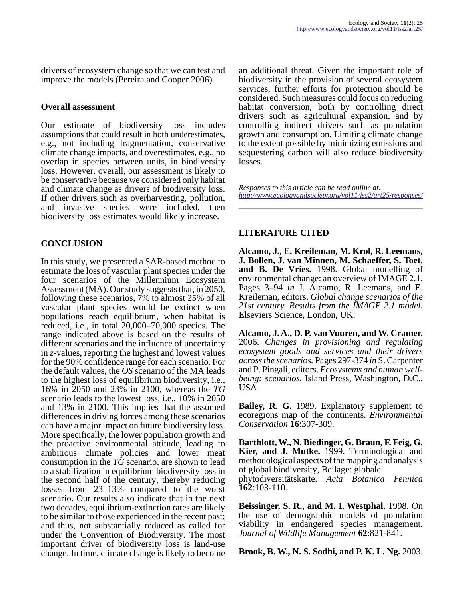drivers of ecosystem change so that we can test and improve the models (Pereira and Cooper 2006).

#### **Overall assessment**

Our estimate of biodiversity loss includes assumptions that could result in both underestimates, e.g., not including fragmentation, conservative climate change impacts, and overestimates, e.g., no overlap in species between units, in biodiversity loss. However, overall, our assessment is likely to be conservative because we considered only habitat and climate change as drivers of biodiversity loss. If other drivers such as overharvesting, pollution, and invasive species were included, then biodiversity loss estimates would likely increase.

### **CONCLUSION**

In this study, we presented a SAR-based method to estimate the loss of vascular plant species under the four scenarios of the Millennium Ecosystem Assessment (MA). Our study suggests that, in 2050, following these scenarios, 7% to almost 25% of all vascular plant species would be extinct when populations reach equilibrium, when habitat is reduced, i.e., in total 20,000–70,000 species. The range indicated above is based on the results of different scenarios and the influence of uncertainty in *z*-values, reporting the highest and lowest values for the 90% confidence range for each scenario. For the default values, the *OS* scenario of the MA leads to the highest loss of equilibrium biodiversity, i.e., 16% in 2050 and 23% in 2100, whereas the *TG* scenario leads to the lowest loss, i.e., 10% in 2050 and 13% in 2100. This implies that the assumed differences in driving forces among these scenarios can have a major impact on future biodiversity loss. More specifically, the lower population growth and the proactive environmental attitude, leading to ambitious climate policies and lower meat consumption in the *TG* scenario, are shown to lead to a stabilization in equilibrium biodiversity loss in the second half of the century, thereby reducing losses from 23–13% compared to the worst scenario. Our results also indicate that in the next two decades, equilibrium-extinction rates are likely to be similar to those experienced in the recent past; and thus, not substantially reduced as called for under the Convention of Biodiversity. The most important driver of biodiversity loss is land-use change. In time, climate change is likely to become

an additional threat. Given the important role of biodiversity in the provision of several ecosystem services, further efforts for protection should be considered. Such measures could focus on reducing habitat conversion, both by controlling direct drivers such as agricultural expansion, and by controlling indirect drivers such as population growth and consumption. Limiting climate change to the extent possible by minimizing emissions and sequestering carbon will also reduce biodiversity losses.

*Responses to this article can be read online at: <http://www.ecologyandsociety.org/vol11/iss2/art25/responses/>*

### **LITERATURE CITED**

**Alcamo, J., E. Kreileman, M. Krol, R. Leemans, J. Bollen, J. van Minnen, M. Schaeffer, S. Toet, and B. De Vries.** 1998. Global modelling of environmental change: an overview of IMAGE 2.1. Pages 3–94 *in* J. Alcamo, R. Leemans, and E. Kreileman, editors. *Global change scenarios of the 21st century. Results from the IMAGE 2.1 model.* Elseviers Science, London, UK.

**Alcamo, J. A., D. P. van Vuuren, and W. Cramer.** 2006. *Changes in provisioning and regulating ecosystem goods and services and their drivers across the scenarios.* Pages 297-374 *in* S. Carpenter and P. Pingali, editors. *Ecosystems and human wellbeing: scenarios.* Island Press, Washington, D.C., USA.

**Bailey, R. G.** 1989. Explanatory supplement to ecoregions map of the continents. *Environmental Conservation* **16**:307-309.

**Barthlott, W., N. Biedinger, G. Braun, F. Feig, G. Kier, and J. Mutke.** 1999. Terminological and methodological aspects of the mapping and analysis of global biodiversity, Beilage: globale phytodiversitätskarte. *Acta Botanica Fennica* **162**:103-110.

**Beissinger, S. R., and M. I. Westphal.** 1998. On the use of demographic models of population viability in endangered species management. *Journal of Wildlife Management* **62**:821-841.

**Brook, B. W., N. S. Sodhi, and P. K. L. Ng.** 2003.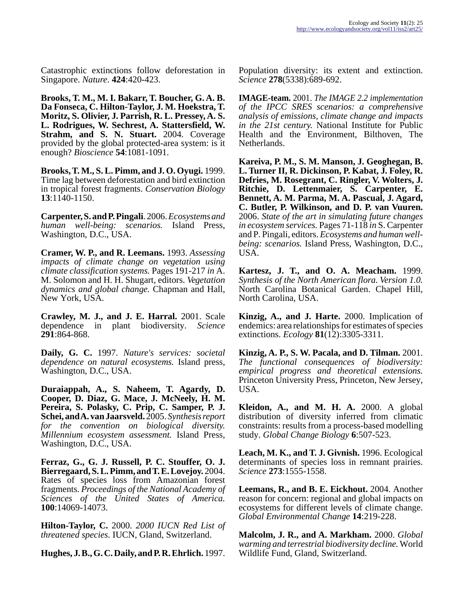Catastrophic extinctions follow deforestation in Singapore. *Nature*. **424**:420-423.

**Brooks, T. M., M. I. Bakarr, T. Boucher, G. A. B. Da Fonseca, C. Hilton-Taylor, J. M. Hoekstra, T. Moritz, S. Olivier, J. Parrish, R. L. Pressey, A. S. L. Rodrigues, W. Sechrest, A. Stattersfield, W. Strahm, and S. N. Stuart.** 2004. Coverage provided by the global protected-area system: is it enough? *Bioscience* **54**:1081-1091.

**Brooks, T. M., S. L. Pimm, and J. O. Oyugi.** 1999. Time lag between deforestation and bird extinction in tropical forest fragments. *Conservation Biology* **13**:1140-1150.

**Carpenter, S. and P. Pingali**. 2006. *Ecosystems and human well-being: scenarios.* Island Press, Washington, D.C., USA.

**Cramer, W. P., and R. Leemans.** 1993. *Assessing impacts of climate change on vegetation using climate classification systems.* Pages 191-217 *in* A. M. Solomon and H. H. Shugart, editors. *Vegetation dynamics and global change.* Chapman and Hall, New York, USA.

**Crawley, M. J., and J. E. Harral.** 2001. Scale dependence in plant biodiversity. *Science* **291**:864-868.

**Daily, G. C.** 1997. *Nature's services: societal dependence on natural ecosystems.* Island press, Washington, D.C., USA.

**Duraiappah, A., S. Naheem, T. Agardy, D. Cooper, D. Diaz, G. Mace, J. McNeely, H. M. Pereira, S. Polasky, C. Prip, C. Samper, P. J. Schei, and A. van Jaarsveld.** 2005. *Synthesis report for the convention on biological diversity. Millennium ecosystem assessment.* Island Press, Washington, D.C., USA.

**Ferraz, G., G. J. Russell, P. C. Stouffer, O. J. Bierregaard, S. L. Pimm, and T. E. Lovejoy.** 2004. Rates of species loss from Amazonian forest fragments. *Proceedings of the National Academy of Sciences of the United States of America.* **100**:14069-14073.

**Hilton-Taylor, C.** 2000. *2000 IUCN Red List of threatened species.* IUCN, Gland, Switzerland.

**Hughes, J. B., G. C. Daily, and P. R. Ehrlich.** 1997.

Population diversity: its extent and extinction. *Science* **278**(5338):689-692.

**IMAGE-team.** 2001. *The IMAGE 2.2 implementation of the IPCC SRES scenarios: a comprehensive analysis of emissions, climate change and impacts in the 21st century.* National Institute for Public Health and the Environment, Bilthoven, The Netherlands.

**Kareiva, P. M., S. M. Manson, J. Geoghegan, B. L. Turner II, R. Dickinson, P. Kabat, J. Foley, R. Defries, M. Rosegrant, C. Ringler, V. Wolters, J. Ritchie, D. Lettenmaier, S. Carpenter, E. Bennett, A. M. Parma, M. A. Pascual, J. Agard, C. Butler, P. Wilkinson, and D. P. van Vuuren.** 2006. *State of the art in simulating future changes in ecosystem services.* Pages 71-118 *in* S. Carpenter and P. Pingali, editors. *Ecosystems and human wellbeing: scenarios.* Island Press, Washington, D.C., USA.

**Kartesz, J. T., and O. A. Meacham.** 1999. *Synthesis of the North American flora. Version 1.0.* North Carolina Botanical Garden. Chapel Hill, North Carolina, USA.

**Kinzig, A., and J. Harte.** 2000. Implication of endemics: area relationships for estimates of species extinctions. *Ecology* **81**(12):3305-3311.

**Kinzig, A. P., S. W. Pacala, and D. Tilman.** 2001. *The functional consequences of biodiversity: empirical progress and theoretical extensions.* Princeton University Press, Princeton, New Jersey, USA.

**Kleidon, A., and M. H. A.** 2000. A global distribution of diversity inferred from climatic constraints: results from a process-based modelling study. *Global Change Biology* **6**:507-523.

**Leach, M. K., and T. J. Givnish.** 1996. Ecological determinants of species loss in remnant prairies. *Science* **273**:1555-1558.

**Leemans, R., and B. E. Eickhout.** 2004. Another reason for concern: regional and global impacts on ecosystems for different levels of climate change. *Global Environmental Change* **14**:219-228.

**Malcolm, J. R., and A. Markham.** 2000. *Global warming and terrestrial biodiversity decline.* World Wildlife Fund, Gland, Switzerland.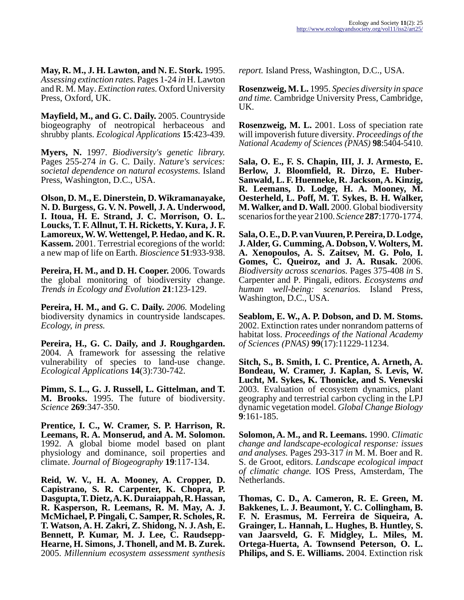**May, R. M., J. H. Lawton, and N. E. Stork.** 1995. *Assessing extinction rates.* Pages 1-24 *in* H. Lawton and R. M. May. *Extinction rates.* Oxford University Press, Oxford, UK.

**Mayfield, M., and G. C. Daily.** 2005. Countryside biogeography of neotropical herbaceous and shrubby plants. *Ecological Applications* **15**:423-439.

**Myers, N.** 1997. *Biodiversity's genetic library.* Pages 255-274 *in* G. C. Daily. *Nature's services: societal dependence on natural ecosystems.* Island Press, Washington, D.C., USA.

**Olson, D. M., E. Dinerstein, D. Wikramanayake, N. D. Burgess, G. V. N. Powell, J. A. Underwood, I. Itoua, H. E. Strand, J. C. Morrison, O. L. Loucks, T. F. Allnut, T. H. Ricketts, Y. Kura, J. F. Lamoreux, W. W. Wettengel, P. Hedao, and K. R. Kassem.** 2001. Terrestrial ecoregions of the world: a new map of life on Earth. *Bioscience* **51**:933-938.

**Pereira, H. M., and D. H. Cooper.** 2006. Towards the global monitoring of biodiversity change. *Trends in Ecology and Evolution* **21**:123-129.

**Pereira, H. M., and G. C. Daily.** *2006.* Modeling biodiversity dynamics in countryside landscapes. *Ecology, in press.*

**Pereira, H., G. C. Daily, and J. Roughgarden.** 2004. A framework for assessing the relative vulnerability of species to land-use change. *Ecological Applications* **14**(3):730-742.

**Pimm, S. L., G. J. Russell, L. Gittelman, and T. M. Brooks.** 1995. The future of biodiversity. *Science* **269**:347-350.

**Prentice, I. C., W. Cramer, S. P. Harrison, R. Leemans, R. A. Monserud, and A. M. Solomon.** 1992. A global biome model based on plant physiology and dominance, soil properties and climate. *Journal of Biogeography* **19**:117-134.

**Reid, W. V., H. A. Mooney, A. Cropper, D. Capistrano, S. R. Carpenter, K. Chopra, P. Dasgupta, T. Dietz, A. K. Duraiappah, R. Hassan, R. Kasperson, R. Leemans, R. M. May, A. J. McMichael, P. Pingali, C. Samper, R. Scholes, R. T. Watson, A. H. Zakri, Z. Shidong, N. J. Ash, E. Bennett, P. Kumar, M. J. Lee, C. Raudsepp-Hearne, H. Simons, J. Thonell, and M. B. Zurek.** 2005. *Millennium ecosystem assessment synthesis*

*report.* Island Press, Washington, D.C., USA.

**Rosenzweig, M. L.** 1995. *Species diversity in space and time.* Cambridge University Press, Cambridge, UK.

**Rosenzweig, M. L.** 2001. Loss of speciation rate will impoverish future diversity. *Proceedings of the National Academy of Sciences (PNAS)* **98**:5404-5410.

**Sala, O. E., F. S. Chapin, III, J. J. Armesto, E. Berlow, J. Bloomfield, R. Dirzo, E. Huber-Sanwald, L. F. Huenneke, R. Jackson, A. Kinzig, R. Leemans, D. Lodge, H. A. Mooney, M. Oesterheld, L. Poff, M. T. Sykes, B. H. Walker, M. Walker, and D. Wall.** 2000. Global biodiversity scenarios for the year 2100. *Science* **287**:1770-1774.

**Sala, O. E., D. P. van Vuuren, P. Pereira, D. Lodge, J. Alder, G. Cumming, A. Dobson, V. Wolters, M. A. Xenopoulos, A. S. Zaitsev, M. G. Polo, I. Gomes, C. Queiroz, and J. A. Rusak.** 2006. *Biodiversity across scenarios.* Pages 375-408 *in* S. Carpenter and P. Pingali, editors. *Ecosystems and human well-being: scenarios.* Island Press, Washington, D.C., USA.

**Seablom, E. W., A. P. Dobson, and D. M. Stoms.** 2002. Extinction rates under nonrandom patterns of habitat loss. *Proceedings of the National Academy of Sciences (PNAS)* **99**(17):11229-11234.

**Sitch, S., B. Smith, I. C. Prentice, A. Arneth, A. Bondeau, W. Cramer, J. Kaplan, S. Levis, W. Lucht, M. Sykes, K. Thonicke, and S. Venevski** 2003. Evaluation of ecosystem dynamics, plant geography and terrestrial carbon cycling in the LPJ dynamic vegetation model. *Global Change Biology* **9**:161-185.

**Solomon, A. M., and R. Leemans.** 1990. *Climatic change and landscape-ecological response: issues and analyses.* Pages 293-317 *in* M. M. Boer and R. S. de Groot, editors. *Landscape ecological impact of climatic change.* IOS Press, Amsterdam, The Netherlands.

**Thomas, C. D., A. Cameron, R. E. Green, M. Bakkenes, L. J. Beaumont, Y. C. Collingham, B. F. N. Erasmus, M. Ferreira de Siqueira, A. Grainger, L. Hannah, L. Hughes, B. Huntley, S. van Jaarsveld, G. F. Midgley, L. Miles, M. Ortega-Huerta, A. Townsend Peterson, O. L. Philips, and S. E. Williams.** 2004. Extinction risk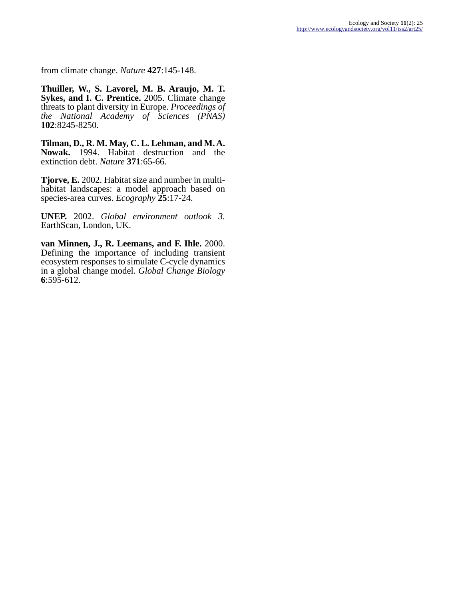from climate change. *Nature* **427**:145-148.

**Thuiller, W., S. Lavorel, M. B. Araujo, M. T. Sykes, and I. C. Prentice.** 2005. Climate change threats to plant diversity in Europe. *Proceedings of the National Academy of Sciences (PNAS)* **102**:8245-8250.

**Tilman, D., R. M. May, C. L. Lehman, and M. A. Nowak.** 1994. Habitat destruction and the extinction debt. *Nature* **371**:65-66.

**Tjorve, E.** 2002. Habitat size and number in multihabitat landscapes: a model approach based on species-area curves. *Ecography* **25**:17-24.

**UNEP.** 2002. *Global environment outlook 3.* EarthScan, London, UK.

**van Minnen, J., R. Leemans, and F. Ihle.** 2000. Defining the importance of including transient ecosystem responses to simulate C-cycle dynamics in a global change model. *Global Change Biology* **6**:595-612.